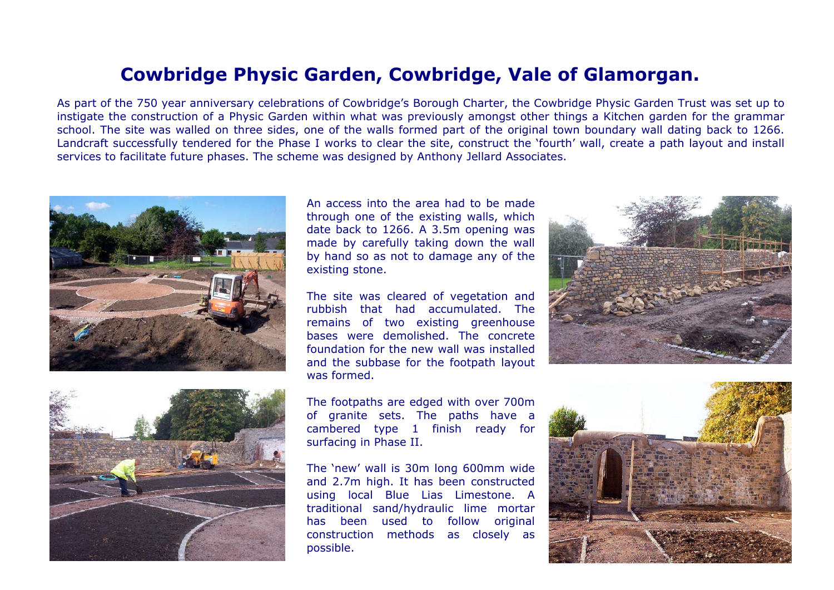## **Cowbridge Physic Garden, Cowbridge, Vale of Glamorgan.**

As part of the 750 year anniversary celebrations of Cowbridge's Borough Charter, the Cowbridge Physic Garden Trust was set up t oinstigate the construction of a Physic Garden within what was previously amongst other things a Kitchen garden for the grammar school. The site was walled on three sides, one of the walls formed part of the original town boundary wall dating back to 1266. Landcraft successfully tendered for the Phase I works to clear the site, construct the 'fourth' wall, create a path layout and install services to facilitate future phases. The scheme was designed by Anthony Jellard Associates.





An access into the area had to be madethrough one of the existing walls, which date back to 1266. A 3.5m opening was made by carefully taking down the wall by hand so as not to damage any of the existing stone.

The site was cleared of vegetation and rubbish that had accumulated. Theremains of two existing greenhouse bases were demolished. The concretefoundation for the new wall was installedand the subbase for the footpath layout was formed.

The footpaths are edged with over 700m of granite sets. The paths have a cambered type 1 finish ready for surfacing in Phase II.

The 'new' wall is 30m long 600mm wide and 2.7m high. It has been constructed using local Blue Lias Limestone. A traditional sand/hydraulic lime mortar has been used to follow original construction methods as closely as possible.